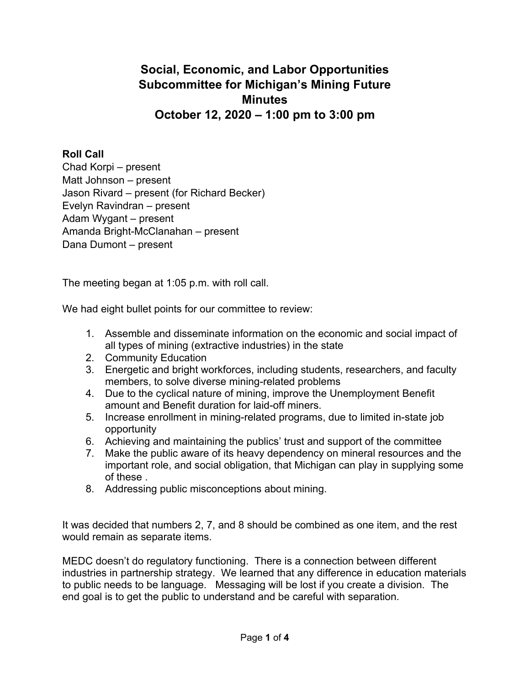## **Social, Economic, and Labor Opportunities Subcommittee for Michigan's Mining Future Minutes October 12, 2020 – 1:00 pm to 3:00 pm**

## **Roll Call**

Chad Korpi – present Matt Johnson – present Jason Rivard – present (for Richard Becker) Evelyn Ravindran – present Adam Wygant – present Amanda Bright-McClanahan – present Dana Dumont – present

The meeting began at 1:05 p.m. with roll call.

We had eight bullet points for our committee to review:

- 1. Assemble and disseminate information on the economic and social impact of all types of mining (extractive industries) in the state
- 2. Community Education
- 3. Energetic and bright workforces, including students, researchers, and faculty members, to solve diverse mining-related problems
- 4. Due to the cyclical nature of mining, improve the Unemployment Benefit amount and Benefit duration for laid-off miners.
- 5. Increase enrollment in mining-related programs, due to limited in-state job opportunity
- 6. Achieving and maintaining the publics' trust and support of the committee
- 7. Make the public aware of its heavy dependency on mineral resources and the important role, and social obligation, that Michigan can play in supplying some of these .
- 8. Addressing public misconceptions about mining.

It was decided that numbers 2, 7, and 8 should be combined as one item, and the rest would remain as separate items.

MEDC doesn't do regulatory functioning. There is a connection between different industries in partnership strategy. We learned that any difference in education materials to public needs to be language. Messaging will be lost if you create a division. The end goal is to get the public to understand and be careful with separation.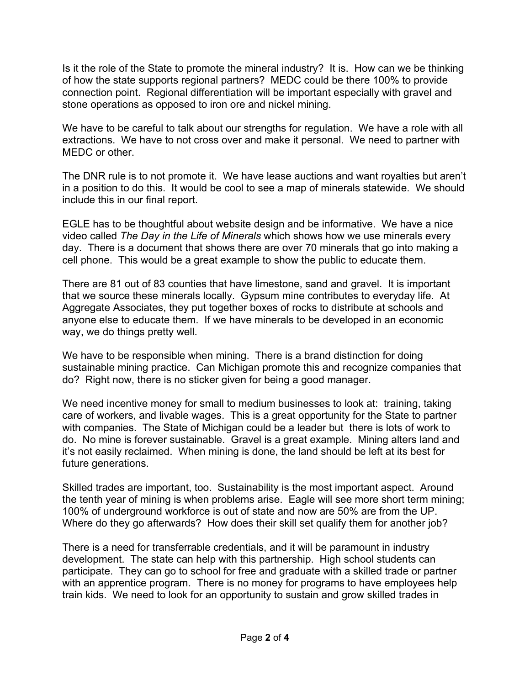Is it the role of the State to promote the mineral industry? It is. How can we be thinking of how the state supports regional partners? MEDC could be there 100% to provide connection point. Regional differentiation will be important especially with gravel and stone operations as opposed to iron ore and nickel mining.

We have to be careful to talk about our strengths for regulation. We have a role with all extractions. We have to not cross over and make it personal. We need to partner with MEDC or other.

The DNR rule is to not promote it. We have lease auctions and want royalties but aren't in a position to do this. It would be cool to see a map of minerals statewide. We should include this in our final report.

EGLE has to be thoughtful about website design and be informative. We have a nice video called *The Day in the Life of Minerals* which shows how we use minerals every day. There is a document that shows there are over 70 minerals that go into making a cell phone. This would be a great example to show the public to educate them.

There are 81 out of 83 counties that have limestone, sand and gravel. It is important that we source these minerals locally. Gypsum mine contributes to everyday life. At Aggregate Associates, they put together boxes of rocks to distribute at schools and anyone else to educate them. If we have minerals to be developed in an economic way, we do things pretty well.

We have to be responsible when mining. There is a brand distinction for doing sustainable mining practice. Can Michigan promote this and recognize companies that do? Right now, there is no sticker given for being a good manager.

We need incentive money for small to medium businesses to look at: training, taking care of workers, and livable wages. This is a great opportunity for the State to partner with companies. The State of Michigan could be a leader but there is lots of work to do. No mine is forever sustainable. Gravel is a great example. Mining alters land and it's not easily reclaimed. When mining is done, the land should be left at its best for future generations.

Skilled trades are important, too. Sustainability is the most important aspect. Around the tenth year of mining is when problems arise. Eagle will see more short term mining; 100% of underground workforce is out of state and now are 50% are from the UP. Where do they go afterwards? How does their skill set qualify them for another job?

There is a need for transferrable credentials, and it will be paramount in industry development. The state can help with this partnership. High school students can participate. They can go to school for free and graduate with a skilled trade or partner with an apprentice program. There is no money for programs to have employees help train kids. We need to look for an opportunity to sustain and grow skilled trades in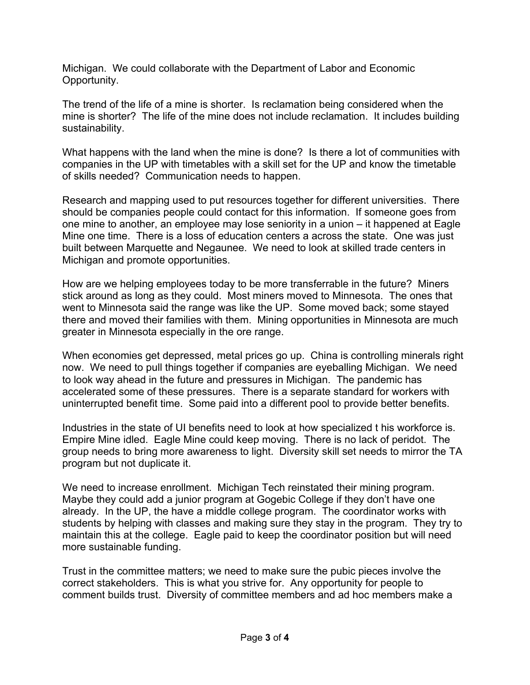Michigan. We could collaborate with the Department of Labor and Economic Opportunity.

The trend of the life of a mine is shorter. Is reclamation being considered when the mine is shorter? The life of the mine does not include reclamation. It includes building sustainability.

What happens with the land when the mine is done? Is there a lot of communities with companies in the UP with timetables with a skill set for the UP and know the timetable of skills needed? Communication needs to happen.

Research and mapping used to put resources together for different universities. There should be companies people could contact for this information. If someone goes from one mine to another, an employee may lose seniority in a union – it happened at Eagle Mine one time. There is a loss of education centers a across the state. One was just built between Marquette and Negaunee. We need to look at skilled trade centers in Michigan and promote opportunities.

How are we helping employees today to be more transferrable in the future? Miners stick around as long as they could. Most miners moved to Minnesota. The ones that went to Minnesota said the range was like the UP. Some moved back; some stayed there and moved their families with them. Mining opportunities in Minnesota are much greater in Minnesota especially in the ore range.

When economies get depressed, metal prices go up. China is controlling minerals right now. We need to pull things together if companies are eyeballing Michigan. We need to look way ahead in the future and pressures in Michigan. The pandemic has accelerated some of these pressures. There is a separate standard for workers with uninterrupted benefit time. Some paid into a different pool to provide better benefits.

Industries in the state of UI benefits need to look at how specialized t his workforce is. Empire Mine idled. Eagle Mine could keep moving. There is no lack of peridot. The group needs to bring more awareness to light. Diversity skill set needs to mirror the TA program but not duplicate it.

We need to increase enrollment. Michigan Tech reinstated their mining program. Maybe they could add a junior program at Gogebic College if they don't have one already. In the UP, the have a middle college program. The coordinator works with students by helping with classes and making sure they stay in the program. They try to maintain this at the college. Eagle paid to keep the coordinator position but will need more sustainable funding.

Trust in the committee matters; we need to make sure the pubic pieces involve the correct stakeholders. This is what you strive for. Any opportunity for people to comment builds trust. Diversity of committee members and ad hoc members make a